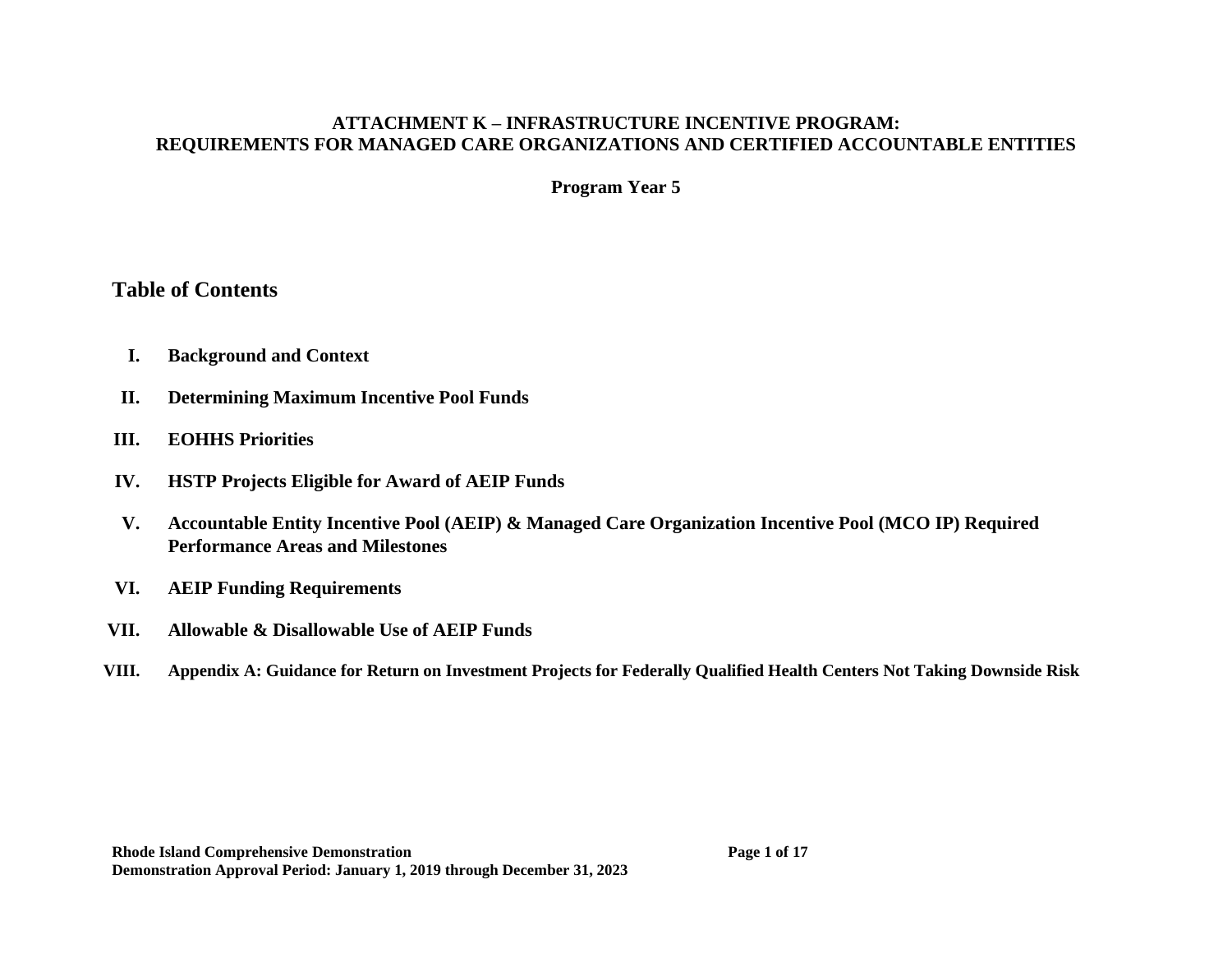#### **ATTACHMENT K – INFRASTRUCTURE INCENTIVE PROGRAM: REQUIREMENTS FOR MANAGED CARE ORGANIZATIONS AND CERTIFIED ACCOUNTABLE ENTITIES**

**Program Year 5**

# **Table of Contents**

- **I. Background and Context**
- **II. Determining Maximum Incentive Pool Funds**
- **III. EOHHS Priorities**
- **IV. HSTP Projects Eligible for Award of AEIP Funds**
- **V. Accountable Entity Incentive Pool (AEIP) & Managed Care Organization Incentive Pool (MCO IP) Required Performance Areas and Milestones**
- **VI. AEIP Funding Requirements**
- **VII. Allowable & Disallowable Use of AEIP Funds**
- **VIII. Appendix A: Guidance for Return on Investment Projects for Federally Qualified Health Centers Not Taking Downside Risk**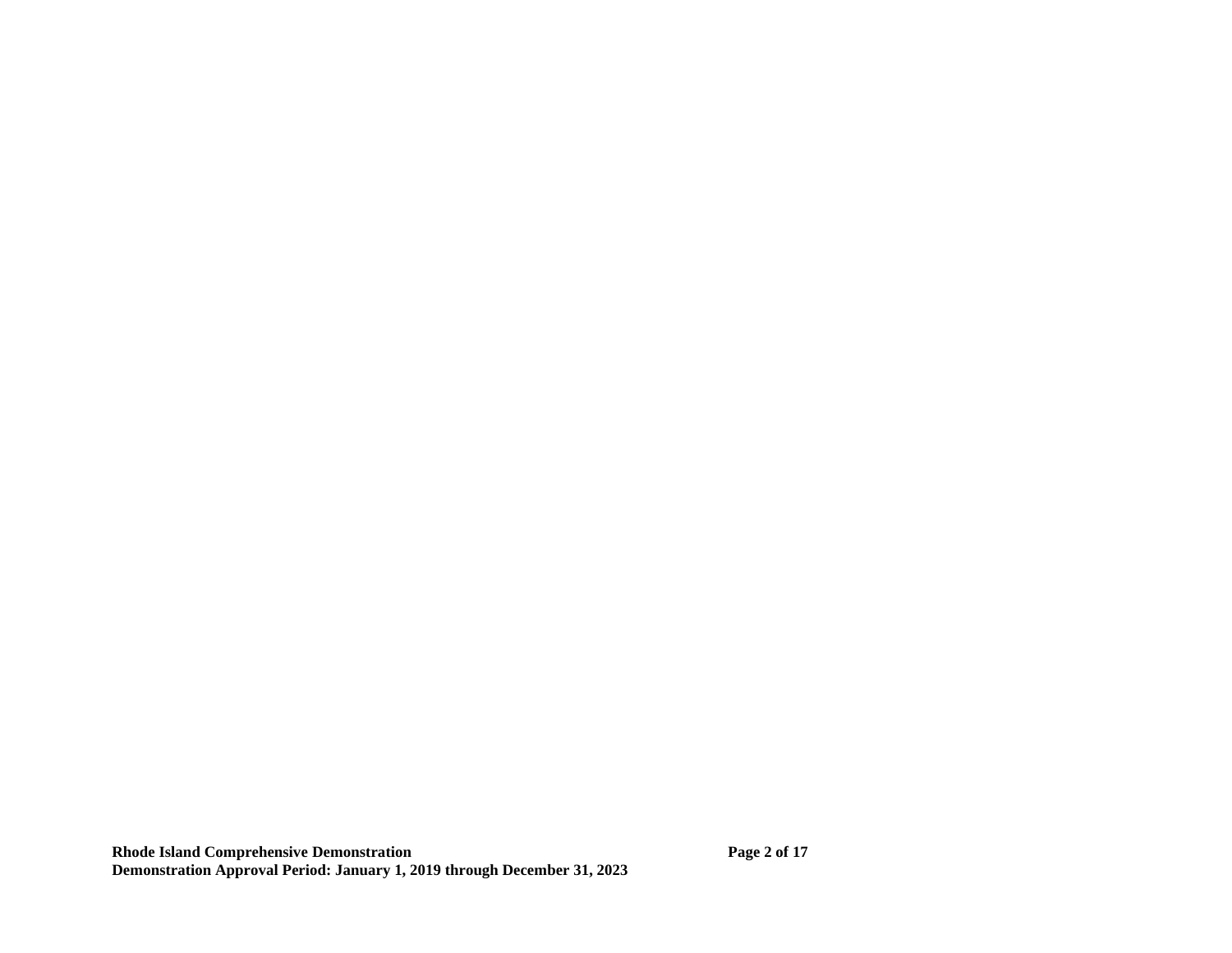**Rhode Island Comprehensive Demonstration Page 2 of 17 Demonstration Approval Period: January 1, 2019 through December 31, 2023**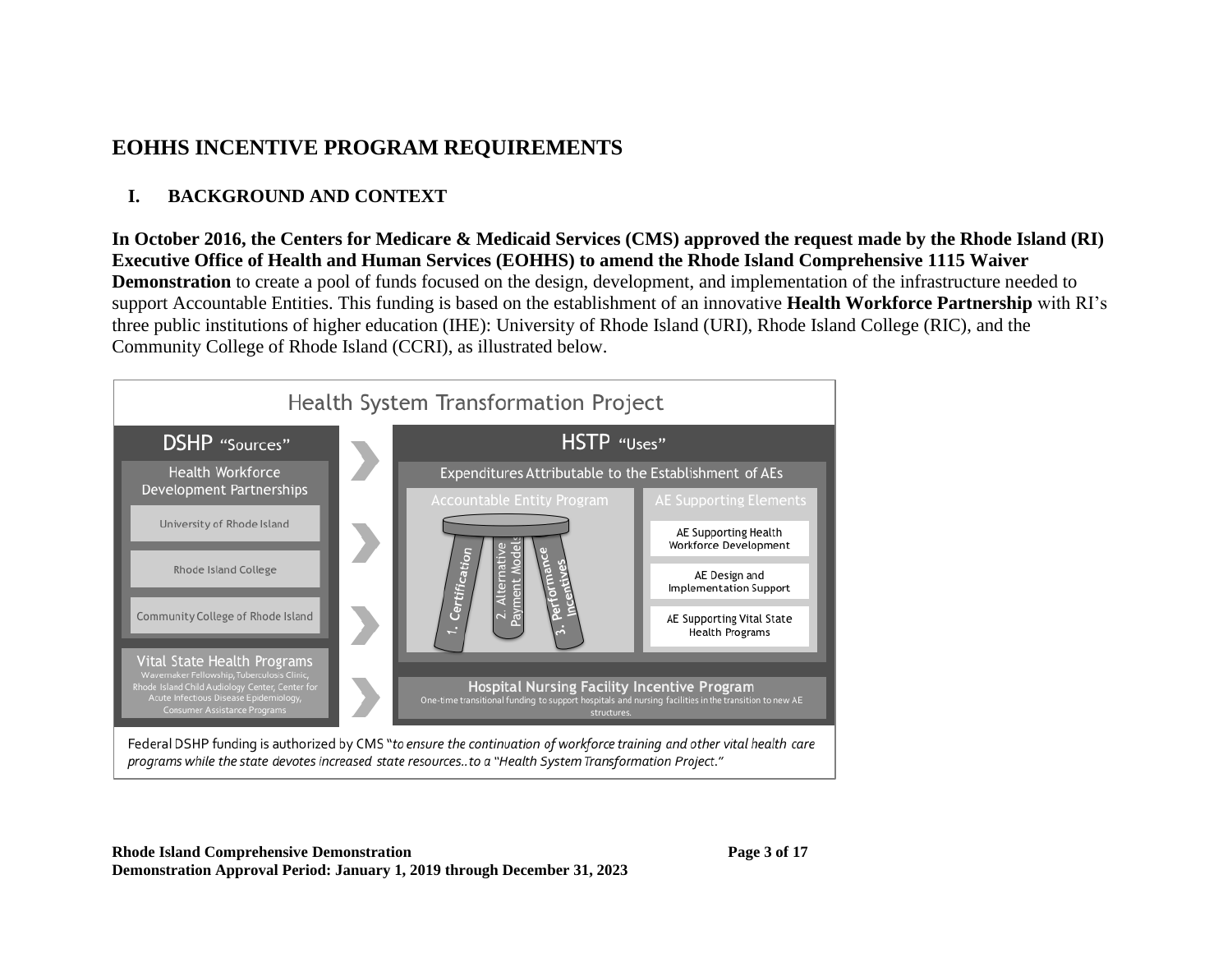# **EOHHS INCENTIVE PROGRAM REQUIREMENTS**

# **I. BACKGROUND AND CONTEXT**

**In October 2016, the Centers for Medicare & Medicaid Services (CMS) approved the request made by the Rhode Island (RI) Executive Office of Health and Human Services (EOHHS) to amend the Rhode Island Comprehensive 1115 Waiver Demonstration** to create a pool of funds focused on the design, development, and implementation of the infrastructure needed to support Accountable Entities. This funding is based on the establishment of an innovative **Health Workforce Partnership** with RI's three public institutions of higher education (IHE): University of Rhode Island (URI), Rhode Island College (RIC), and the Community College of Rhode Island (CCRI), as illustrated below.



programs while the state devotes increased state resources..to a "Health System Transformation Project."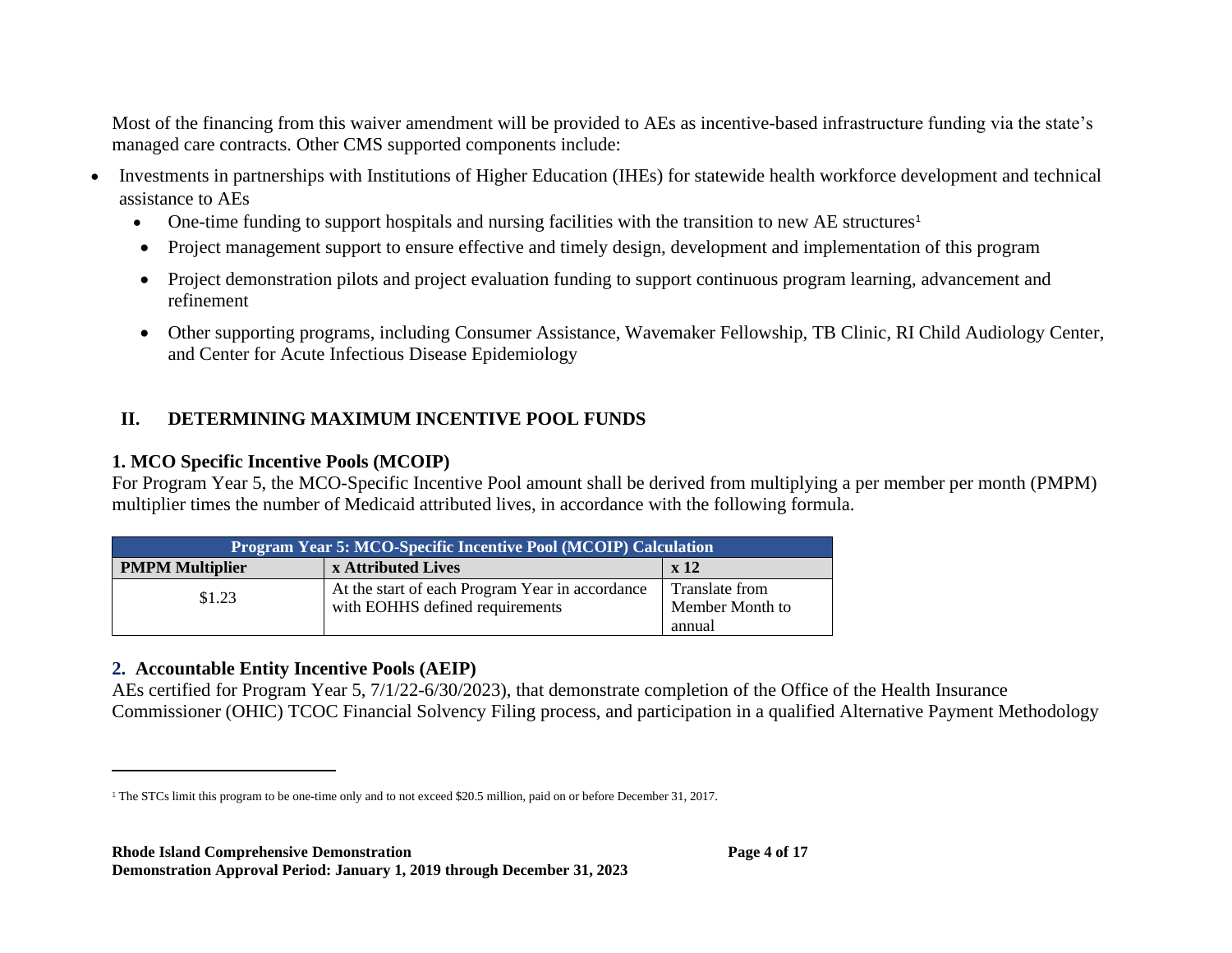Most of the financing from this waiver amendment will be provided to AEs as incentive-based infrastructure funding via the state's managed care contracts. Other CMS supported components include:

- Investments in partnerships with Institutions of Higher Education (IHEs) for statewide health workforce development and technical assistance to AEs
	- One-time funding to support hospitals and nursing facilities with the transition to new AE structures<sup>1</sup>
	- Project management support to ensure effective and timely design, development and implementation of this program
	- Project demonstration pilots and project evaluation funding to support continuous program learning, advancement and refinement
	- Other supporting programs, including Consumer Assistance, Wavemaker Fellowship, TB Clinic, RI Child Audiology Center, and Center for Acute Infectious Disease Epidemiology

# **II. DETERMINING MAXIMUM INCENTIVE POOL FUNDS**

## **1. MCO Specific Incentive Pools (MCOIP)**

For Program Year 5, the MCO-Specific Incentive Pool amount shall be derived from multiplying a per member per month (PMPM) multiplier times the number of Medicaid attributed lives, in accordance with the following formula.

| <b>Program Year 5: MCO-Specific Incentive Pool (MCOIP) Calculation</b> |                                                                                    |                                   |  |
|------------------------------------------------------------------------|------------------------------------------------------------------------------------|-----------------------------------|--|
| <b>PMPM Multiplier</b>                                                 | <b>x Attributed Lives</b>                                                          | $\mathbf{x}$ 12                   |  |
| \$1.23                                                                 | At the start of each Program Year in accordance<br>with EOHHS defined requirements | Translate from<br>Member Month to |  |
|                                                                        |                                                                                    | annual                            |  |

# **2. Accountable Entity Incentive Pools (AEIP)**

AEs certified for Program Year 5, 7/1/22-6/30/2023), that demonstrate completion of the Office of the Health Insurance Commissioner (OHIC) TCOC Financial Solvency Filing process, and participation in a qualified Alternative Payment Methodology

<sup>&</sup>lt;sup>1</sup> The STCs limit this program to be one-time only and to not exceed \$20.5 million, paid on or before December 31, 2017.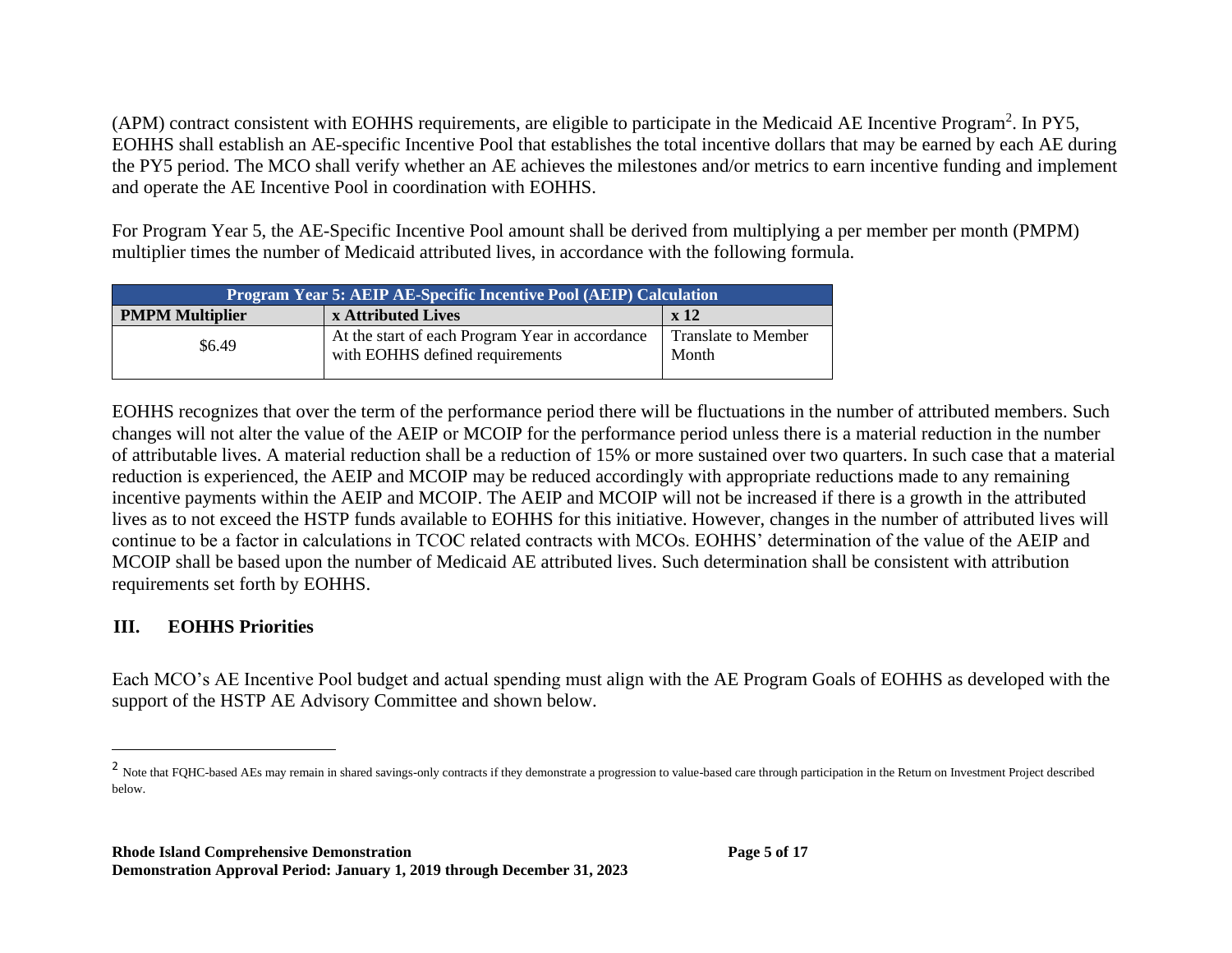(APM) contract consistent with EOHHS requirements, are eligible to participate in the Medicaid AE Incentive Program<sup>2</sup>. In PY5, EOHHS shall establish an AE-specific Incentive Pool that establishes the total incentive dollars that may be earned by each AE during the PY5 period. The MCO shall verify whether an AE achieves the milestones and/or metrics to earn incentive funding and implement and operate the AE Incentive Pool in coordination with EOHHS.

For Program Year 5, the AE-Specific Incentive Pool amount shall be derived from multiplying a per member per month (PMPM) multiplier times the number of Medicaid attributed lives, in accordance with the following formula.

| <b>Program Year 5: AEIP AE-Specific Incentive Pool (AEIP) Calculation</b> |                                                                                    |                              |  |
|---------------------------------------------------------------------------|------------------------------------------------------------------------------------|------------------------------|--|
| <b>PMPM Multiplier</b>                                                    | <b>x Attributed Lives</b>                                                          | $\mathbf{x}$ 12              |  |
| \$6.49                                                                    | At the start of each Program Year in accordance<br>with EOHHS defined requirements | Translate to Member<br>Month |  |

EOHHS recognizes that over the term of the performance period there will be fluctuations in the number of attributed members. Such changes will not alter the value of the AEIP or MCOIP for the performance period unless there is a material reduction in the number of attributable lives. A material reduction shall be a reduction of 15% or more sustained over two quarters. In such case that a material reduction is experienced, the AEIP and MCOIP may be reduced accordingly with appropriate reductions made to any remaining incentive payments within the AEIP and MCOIP. The AEIP and MCOIP will not be increased if there is a growth in the attributed lives as to not exceed the HSTP funds available to EOHHS for this initiative. However, changes in the number of attributed lives will continue to be a factor in calculations in TCOC related contracts with MCOs. EOHHS' determination of the value of the AEIP and MCOIP shall be based upon the number of Medicaid AE attributed lives. Such determination shall be consistent with attribution requirements set forth by EOHHS.

## **III. EOHHS Priorities**

Each MCO's AE Incentive Pool budget and actual spending must align with the AE Program Goals of EOHHS as developed with the support of the HSTP AE Advisory Committee and shown below.

<sup>&</sup>lt;sup>2</sup> Note that FOHC-based AEs may remain in shared savings-only contracts if they demonstrate a progression to value-based care through participation in the Return on Investment Project described below.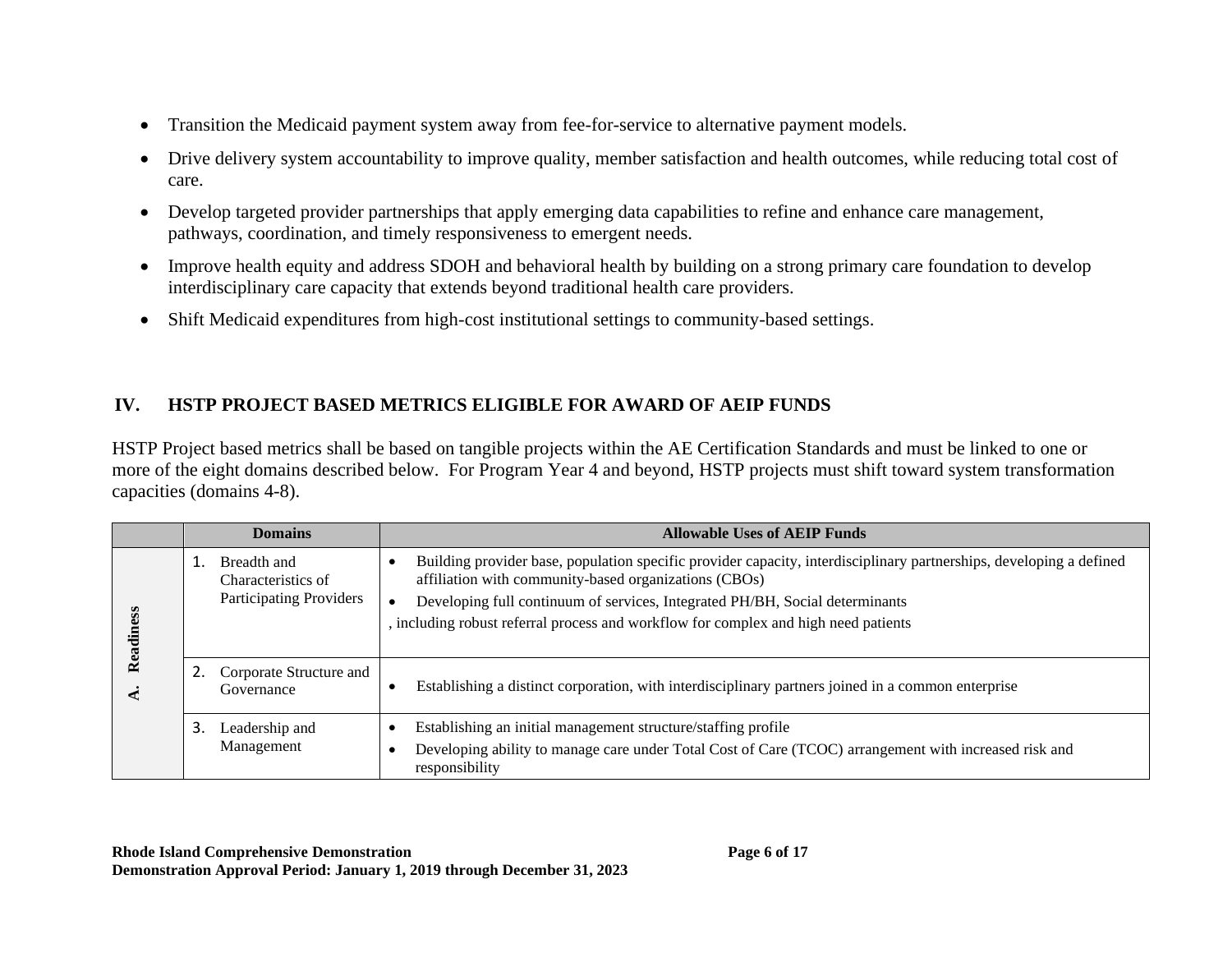- Transition the Medicaid payment system away from fee-for-service to alternative payment models.
- Drive delivery system accountability to improve quality, member satisfaction and health outcomes, while reducing total cost of care.
- Develop targeted provider partnerships that apply emerging data capabilities to refine and enhance care management, pathways, coordination, and timely responsiveness to emergent needs.
- Improve health equity and address SDOH and behavioral health by building on a strong primary care foundation to develop interdisciplinary care capacity that extends beyond traditional health care providers.
- Shift Medicaid expenditures from high-cost institutional settings to community-based settings.

# **IV. HSTP PROJECT BASED METRICS ELIGIBLE FOR AWARD OF AEIP FUNDS**

HSTP Project based metrics shall be based on tangible projects within the AE Certification Standards and must be linked to one or more of the eight domains described below. For Program Year 4 and beyond, HSTP projects must shift toward system transformation capacities (domains 4-8).

|           | <b>Domains</b>                                                      | <b>Allowable Uses of AEIP Funds</b>                                                                                                                                                                                                                                                                                                               |  |
|-----------|---------------------------------------------------------------------|---------------------------------------------------------------------------------------------------------------------------------------------------------------------------------------------------------------------------------------------------------------------------------------------------------------------------------------------------|--|
| Readiness | Breadth and<br>Characteristics of<br><b>Participating Providers</b> | Building provider base, population specific provider capacity, interdisciplinary partnerships, developing a defined<br>affiliation with community-based organizations (CBOs)<br>Developing full continuum of services, Integrated PH/BH, Social determinants<br>including robust referral process and workflow for complex and high need patients |  |
|           | 2.<br>Corporate Structure and<br>Governance                         | Establishing a distinct corporation, with interdisciplinary partners joined in a common enterprise                                                                                                                                                                                                                                                |  |
|           | 3.<br>Leadership and<br>Management                                  | Establishing an initial management structure/staffing profile<br>Developing ability to manage care under Total Cost of Care (TCOC) arrangement with increased risk and<br>responsibility                                                                                                                                                          |  |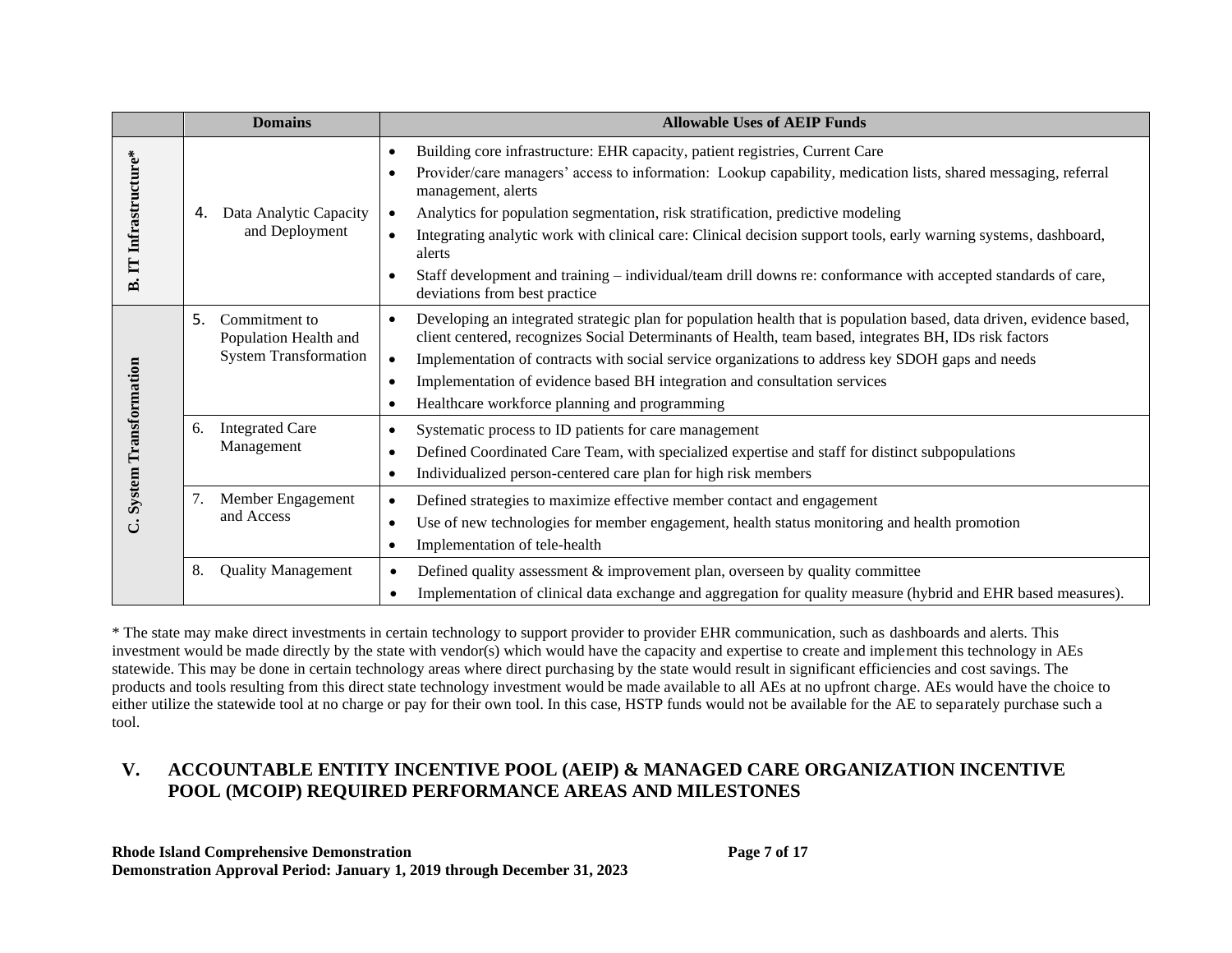|                          | <b>Domains</b>                                                               | <b>Allowable Uses of AEIP Funds</b>                                                                                                                                                                                                                                                                                                                                                                                                                                           |  |  |
|--------------------------|------------------------------------------------------------------------------|-------------------------------------------------------------------------------------------------------------------------------------------------------------------------------------------------------------------------------------------------------------------------------------------------------------------------------------------------------------------------------------------------------------------------------------------------------------------------------|--|--|
| Infrastructure*          | Data Analytic Capacity<br>4.                                                 | Building core infrastructure: EHR capacity, patient registries, Current Care<br>$\bullet$<br>Provider/care managers' access to information: Lookup capability, medication lists, shared messaging, referral<br>management, alerts<br>Analytics for population segmentation, risk stratification, predictive modeling<br>$\bullet$                                                                                                                                             |  |  |
| E<br>≏                   | and Deployment                                                               | Integrating analytic work with clinical care: Clinical decision support tools, early warning systems, dashboard,<br>alerts<br>Staff development and training – individual/team drill downs re: conformance with accepted standards of care,<br>deviations from best practice                                                                                                                                                                                                  |  |  |
| Transformation           | Commitment to<br>5.<br>Population Health and<br><b>System Transformation</b> | Developing an integrated strategic plan for population health that is population based, data driven, evidence based,<br>client centered, recognizes Social Determinants of Health, team based, integrates BH, IDs risk factors<br>Implementation of contracts with social service organizations to address key SDOH gaps and needs<br>$\bullet$<br>Implementation of evidence based BH integration and consultation services<br>Healthcare workforce planning and programming |  |  |
|                          | <b>Integrated Care</b><br>6.<br>Management                                   | Systematic process to ID patients for care management<br>Defined Coordinated Care Team, with specialized expertise and staff for distinct subpopulations<br>Individualized person-centered care plan for high risk members<br>٠                                                                                                                                                                                                                                               |  |  |
| System <sup>'</sup><br>ݨ | 7.<br>Member Engagement<br>and Access                                        | Defined strategies to maximize effective member contact and engagement<br>٠<br>Use of new technologies for member engagement, health status monitoring and health promotion<br>Implementation of tele-health<br>$\bullet$                                                                                                                                                                                                                                                     |  |  |
|                          | <b>Quality Management</b><br>8.                                              | Defined quality assessment $\&$ improvement plan, overseen by quality committee<br>Implementation of clinical data exchange and aggregation for quality measure (hybrid and EHR based measures).<br>٠                                                                                                                                                                                                                                                                         |  |  |

\* The state may make direct investments in certain technology to support provider to provider EHR communication, such as dashboards and alerts. This investment would be made directly by the state with vendor(s) which would have the capacity and expertise to create and implement this technology in AEs statewide. This may be done in certain technology areas where direct purchasing by the state would result in significant efficiencies and cost savings. The products and tools resulting from this direct state technology investment would be made available to all AEs at no upfront charge. AEs would have the choice to either utilize the statewide tool at no charge or pay for their own tool. In this case, HSTP funds would not be available for the AE to separately purchase such a tool.

#### **V. ACCOUNTABLE ENTITY INCENTIVE POOL (AEIP) & MANAGED CARE ORGANIZATION INCENTIVE POOL (MCOIP) REQUIRED PERFORMANCE AREAS AND MILESTONES**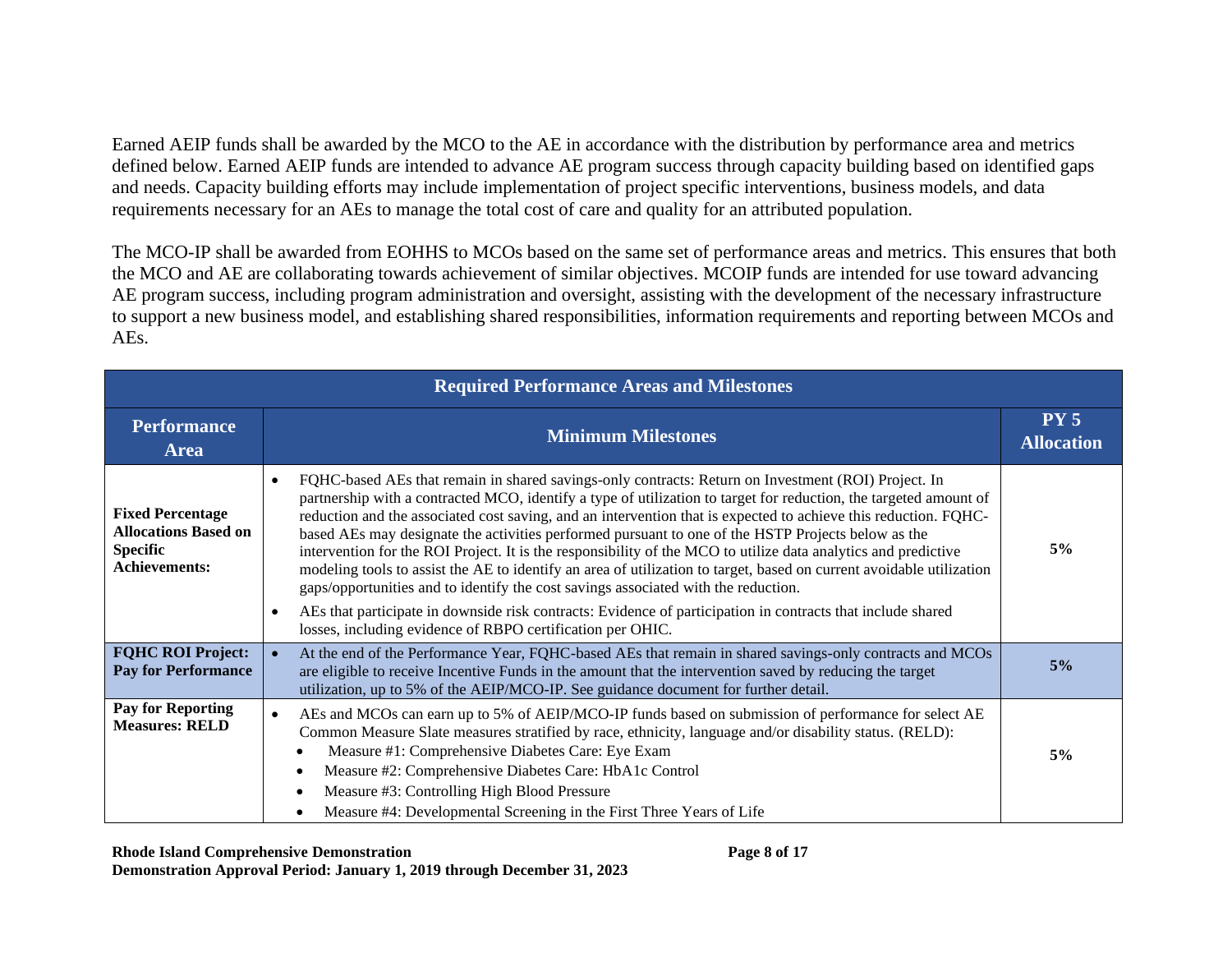Earned AEIP funds shall be awarded by the MCO to the AE in accordance with the distribution by performance area and metrics defined below. Earned AEIP funds are intended to advance AE program success through capacity building based on identified gaps and needs. Capacity building efforts may include implementation of project specific interventions, business models, and data requirements necessary for an AEs to manage the total cost of care and quality for an attributed population.

The MCO-IP shall be awarded from EOHHS to MCOs based on the same set of performance areas and metrics. This ensures that both the MCO and AE are collaborating towards achievement of similar objectives. MCOIP funds are intended for use toward advancing AE program success, including program administration and oversight, assisting with the development of the necessary infrastructure to support a new business model, and establishing shared responsibilities, information requirements and reporting between MCOs and AEs.

| <b>Required Performance Areas and Milestones</b>                                                  |                                                                                                                                                                                                                                                                                                                                                                                                                                                                                                                                                                                                                                                                                                                                                                                                                                                                                                                                                                                          |                          |
|---------------------------------------------------------------------------------------------------|------------------------------------------------------------------------------------------------------------------------------------------------------------------------------------------------------------------------------------------------------------------------------------------------------------------------------------------------------------------------------------------------------------------------------------------------------------------------------------------------------------------------------------------------------------------------------------------------------------------------------------------------------------------------------------------------------------------------------------------------------------------------------------------------------------------------------------------------------------------------------------------------------------------------------------------------------------------------------------------|--------------------------|
| <b>Performance</b><br><b>Area</b>                                                                 | <b>Minimum Milestones</b>                                                                                                                                                                                                                                                                                                                                                                                                                                                                                                                                                                                                                                                                                                                                                                                                                                                                                                                                                                | PY5<br><b>Allocation</b> |
| <b>Fixed Percentage</b><br><b>Allocations Based on</b><br><b>Specific</b><br><b>Achievements:</b> | FQHC-based AEs that remain in shared savings-only contracts: Return on Investment (ROI) Project. In<br>$\bullet$<br>partnership with a contracted MCO, identify a type of utilization to target for reduction, the targeted amount of<br>reduction and the associated cost saving, and an intervention that is expected to achieve this reduction. FQHC-<br>based AEs may designate the activities performed pursuant to one of the HSTP Projects below as the<br>intervention for the ROI Project. It is the responsibility of the MCO to utilize data analytics and predictive<br>modeling tools to assist the AE to identify an area of utilization to target, based on current avoidable utilization<br>gaps/opportunities and to identify the cost savings associated with the reduction.<br>AEs that participate in downside risk contracts: Evidence of participation in contracts that include shared<br>$\bullet$<br>losses, including evidence of RBPO certification per OHIC. | 5%                       |
| <b>FQHC ROI Project:</b><br><b>Pay for Performance</b>                                            | At the end of the Performance Year, FQHC-based AEs that remain in shared savings-only contracts and MCOs<br>are eligible to receive Incentive Funds in the amount that the intervention saved by reducing the target<br>utilization, up to 5% of the AEIP/MCO-IP. See guidance document for further detail.                                                                                                                                                                                                                                                                                                                                                                                                                                                                                                                                                                                                                                                                              | 5%                       |
| <b>Pay for Reporting</b><br><b>Measures: RELD</b>                                                 | AEs and MCOs can earn up to 5% of AEIP/MCO-IP funds based on submission of performance for select AE<br>$\bullet$<br>Common Measure Slate measures stratified by race, ethnicity, language and/or disability status. (RELD):<br>Measure #1: Comprehensive Diabetes Care: Eye Exam<br>Measure #2: Comprehensive Diabetes Care: HbA1c Control<br>$\bullet$<br>Measure #3: Controlling High Blood Pressure<br>$\bullet$<br>Measure #4: Developmental Screening in the First Three Years of Life                                                                                                                                                                                                                                                                                                                                                                                                                                                                                             | 5%                       |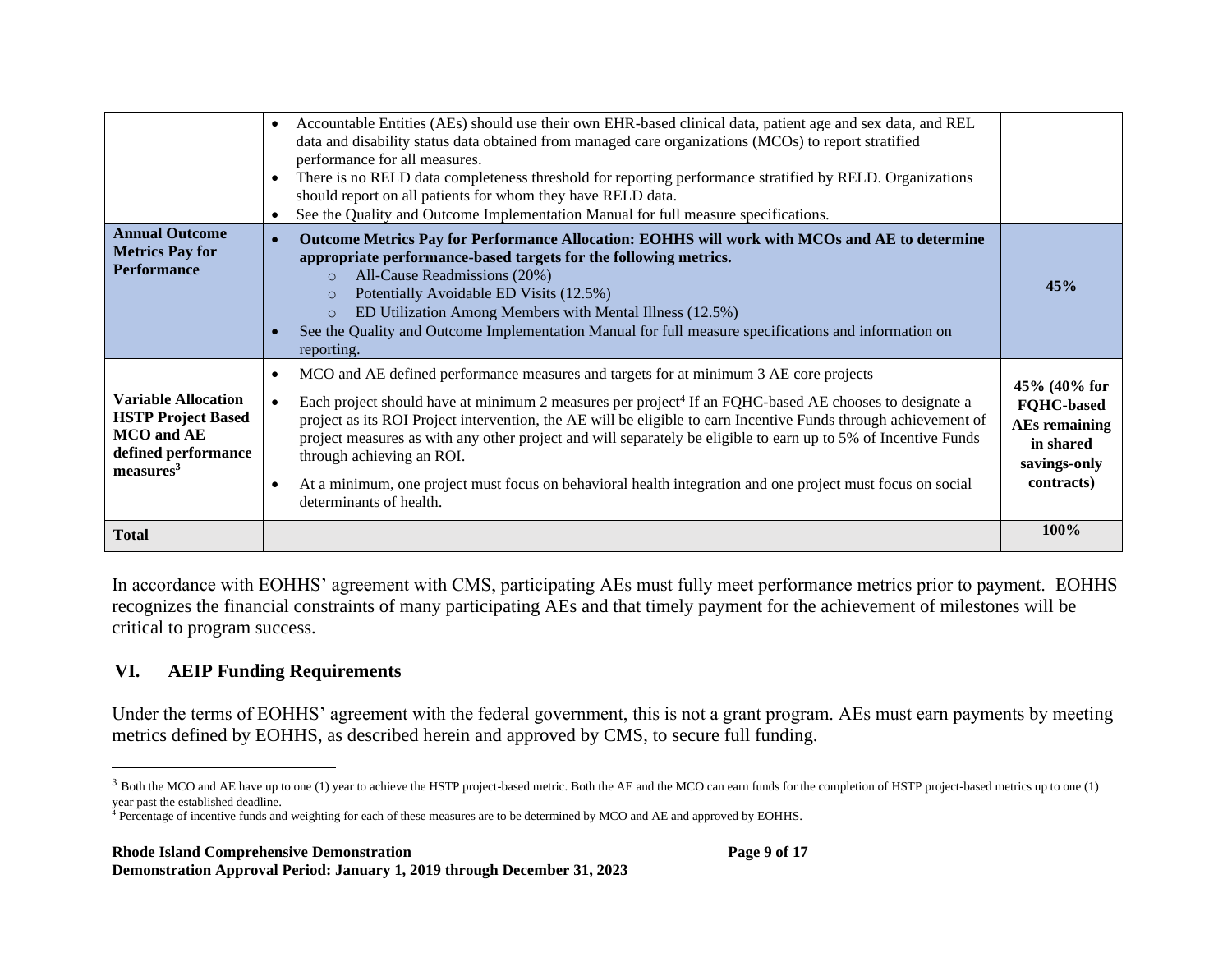|                                                                                                                              | Accountable Entities (AEs) should use their own EHR-based clinical data, patient age and sex data, and REL<br>$\bullet$<br>data and disability status data obtained from managed care organizations (MCOs) to report stratified<br>performance for all measures.<br>There is no RELD data completeness threshold for reporting performance stratified by RELD. Organizations<br>$\bullet$<br>should report on all patients for whom they have RELD data.<br>See the Quality and Outcome Implementation Manual for full measure specifications.<br>$\bullet$                                                                                                   |                                                                                                      |
|------------------------------------------------------------------------------------------------------------------------------|---------------------------------------------------------------------------------------------------------------------------------------------------------------------------------------------------------------------------------------------------------------------------------------------------------------------------------------------------------------------------------------------------------------------------------------------------------------------------------------------------------------------------------------------------------------------------------------------------------------------------------------------------------------|------------------------------------------------------------------------------------------------------|
| <b>Annual Outcome</b><br><b>Metrics Pay for</b><br><b>Performance</b>                                                        | Outcome Metrics Pay for Performance Allocation: EOHHS will work with MCOs and AE to determine<br>$\bullet$<br>appropriate performance-based targets for the following metrics.<br>All-Cause Readmissions (20%)<br>$\Omega$<br>Potentially Avoidable ED Visits (12.5%)<br>$\Omega$<br>ED Utilization Among Members with Mental Illness (12.5%)<br>$\circ$<br>See the Quality and Outcome Implementation Manual for full measure specifications and information on<br>reporting.                                                                                                                                                                                | 45%                                                                                                  |
| <b>Variable Allocation</b><br><b>HSTP Project Based</b><br><b>MCO</b> and AE<br>defined performance<br>measures <sup>3</sup> | MCO and AE defined performance measures and targets for at minimum 3 AE core projects<br>$\bullet$<br>Each project should have at minimum 2 measures per project <sup>4</sup> If an FQHC-based AE chooses to designate a<br>$\bullet$<br>project as its ROI Project intervention, the AE will be eligible to earn Incentive Funds through achievement of<br>project measures as with any other project and will separately be eligible to earn up to 5% of Incentive Funds<br>through achieving an ROI.<br>At a minimum, one project must focus on behavioral health integration and one project must focus on social<br>$\bullet$<br>determinants of health. | 45% (40% for<br><b>FQHC-based</b><br><b>AEs remaining</b><br>in shared<br>savings-only<br>contracts) |
| <b>Total</b>                                                                                                                 |                                                                                                                                                                                                                                                                                                                                                                                                                                                                                                                                                                                                                                                               | 100%                                                                                                 |

In accordance with EOHHS' agreement with CMS, participating AEs must fully meet performance metrics prior to payment. EOHHS recognizes the financial constraints of many participating AEs and that timely payment for the achievement of milestones will be critical to program success.

## **VI. AEIP Funding Requirements**

Under the terms of EOHHS' agreement with the federal government, this is not a grant program. AEs must earn payments by meeting metrics defined by EOHHS, as described herein and approved by CMS, to secure full funding.

 $3$  Both the MCO and AE have up to one (1) year to achieve the HSTP project-based metric. Both the AE and the MCO can earn funds for the completion of HSTP project-based metrics up to one (1) year past the established deadline.

<sup>&</sup>lt;sup>4</sup> Percentage of incentive funds and weighting for each of these measures are to be determined by MCO and AE and approved by EOHHS.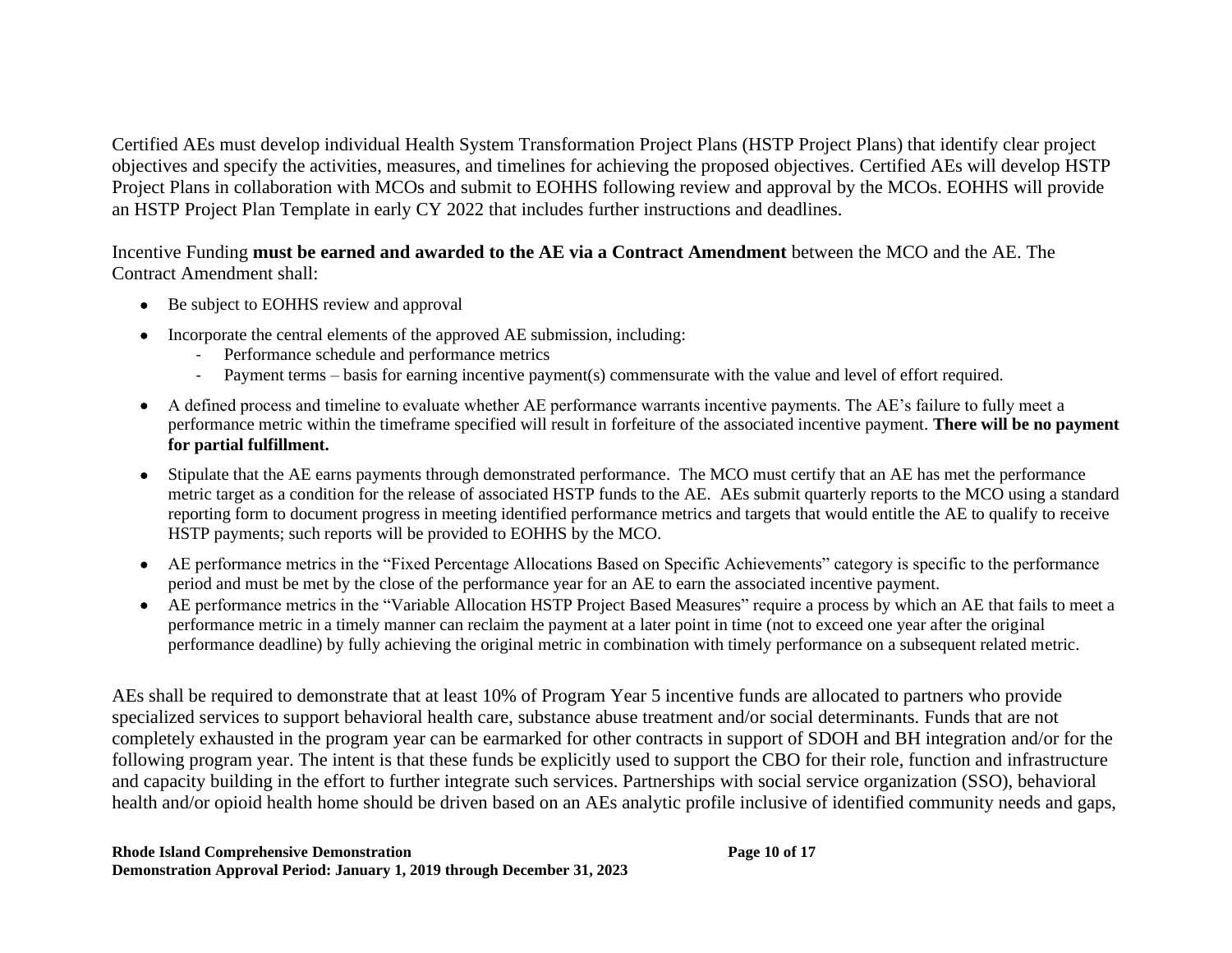Certified AEs must develop individual Health System Transformation Project Plans (HSTP Project Plans) that identify clear project objectives and specify the activities, measures, and timelines for achieving the proposed objectives. Certified AEs will develop HSTP Project Plans in collaboration with MCOs and submit to EOHHS following review and approval by the MCOs. EOHHS will provide an HSTP Project Plan Template in early CY 2022 that includes further instructions and deadlines.

Incentive Funding **must be earned and awarded to the AE via a Contract Amendment** between the MCO and the AE. The Contract Amendment shall:

- Be subject to EOHHS review and approval
- Incorporate the central elements of the approved AE submission, including:
	- Performance schedule and performance metrics
	- Payment terms basis for earning incentive payment(s) commensurate with the value and level of effort required.
- A defined process and timeline to evaluate whether AE performance warrants incentive payments. The AE's failure to fully meet a performance metric within the timeframe specified will result in forfeiture of the associated incentive payment. **There will be no payment for partial fulfillment.**
- Stipulate that the AE earns payments through demonstrated performance. The MCO must certify that an AE has met the performance metric target as a condition for the release of associated HSTP funds to the AE. AEs submit quarterly reports to the MCO using a standard reporting form to document progress in meeting identified performance metrics and targets that would entitle the AE to qualify to receive HSTP payments; such reports will be provided to EOHHS by the MCO.
- AE performance metrics in the "Fixed Percentage Allocations Based on Specific Achievements" category is specific to the performance period and must be met by the close of the performance year for an AE to earn the associated incentive payment.
- AE performance metrics in the "Variable Allocation HSTP Project Based Measures" require a process by which an AE that fails to meet a performance metric in a timely manner can reclaim the payment at a later point in time (not to exceed one year after the original performance deadline) by fully achieving the original metric in combination with timely performance on a subsequent related metric.

AEs shall be required to demonstrate that at least 10% of Program Year 5 incentive funds are allocated to partners who provide specialized services to support behavioral health care, substance abuse treatment and/or social determinants. Funds that are not completely exhausted in the program year can be earmarked for other contracts in support of SDOH and BH integration and/or for the following program year. The intent is that these funds be explicitly used to support the CBO for their role, function and infrastructure and capacity building in the effort to further integrate such services. Partnerships with social service organization (SSO), behavioral health and/or opioid health home should be driven based on an AEs analytic profile inclusive of identified community needs and gaps,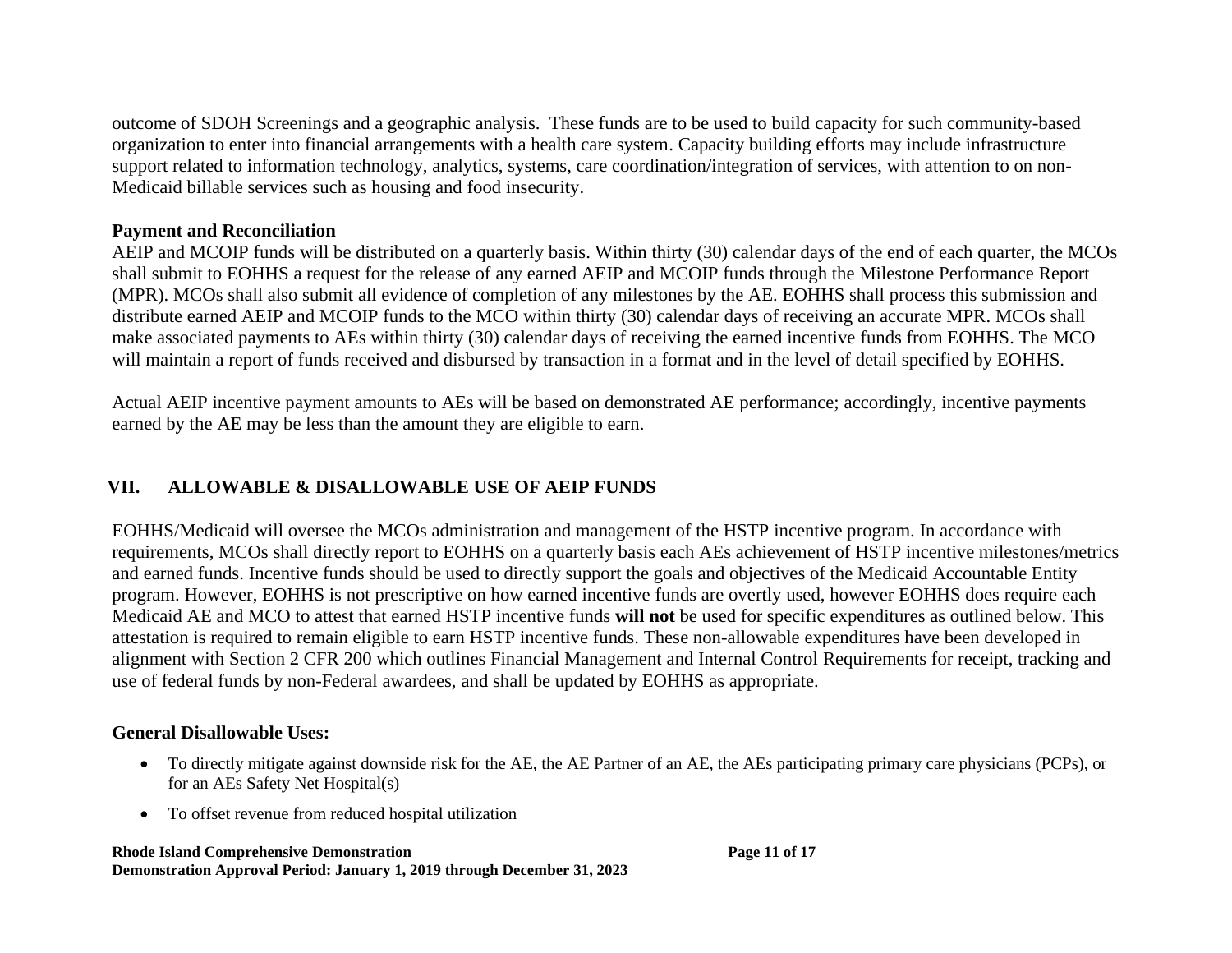outcome of SDOH Screenings and a geographic analysis. These funds are to be used to build capacity for such community-based organization to enter into financial arrangements with a health care system. Capacity building efforts may include infrastructure support related to information technology, analytics, systems, care coordination/integration of services, with attention to on non-Medicaid billable services such as housing and food insecurity.

#### **Payment and Reconciliation**

AEIP and MCOIP funds will be distributed on a quarterly basis. Within thirty (30) calendar days of the end of each quarter, the MCOs shall submit to EOHHS a request for the release of any earned AEIP and MCOIP funds through the Milestone Performance Report (MPR). MCOs shall also submit all evidence of completion of any milestones by the AE. EOHHS shall process this submission and distribute earned AEIP and MCOIP funds to the MCO within thirty (30) calendar days of receiving an accurate MPR. MCOs shall make associated payments to AEs within thirty (30) calendar days of receiving the earned incentive funds from EOHHS. The MCO will maintain a report of funds received and disbursed by transaction in a format and in the level of detail specified by EOHHS.

Actual AEIP incentive payment amounts to AEs will be based on demonstrated AE performance; accordingly, incentive payments earned by the AE may be less than the amount they are eligible to earn.

## **VII. ALLOWABLE & DISALLOWABLE USE OF AEIP FUNDS**

EOHHS/Medicaid will oversee the MCOs administration and management of the HSTP incentive program. In accordance with requirements, MCOs shall directly report to EOHHS on a quarterly basis each AEs achievement of HSTP incentive milestones/metrics and earned funds. Incentive funds should be used to directly support the goals and objectives of the Medicaid Accountable Entity program. However, EOHHS is not prescriptive on how earned incentive funds are overtly used, however EOHHS does require each Medicaid AE and MCO to attest that earned HSTP incentive funds **will not** be used for specific expenditures as outlined below. This attestation is required to remain eligible to earn HSTP incentive funds. These non-allowable expenditures have been developed in alignment with Section 2 CFR 200 which outlines Financial Management and Internal Control Requirements for receipt, tracking and use of federal funds by non-Federal awardees, and shall be updated by EOHHS as appropriate.

#### **General Disallowable Uses:**

- To directly mitigate against downside risk for the AE, the AE Partner of an AE, the AEs participating primary care physicians (PCPs), or for an AEs Safety Net Hospital(s)
- To offset revenue from reduced hospital utilization

#### **Rhode Island Comprehensive Demonstration Page 11 of 17**

**Demonstration Approval Period: January 1, 2019 through December 31, 2023**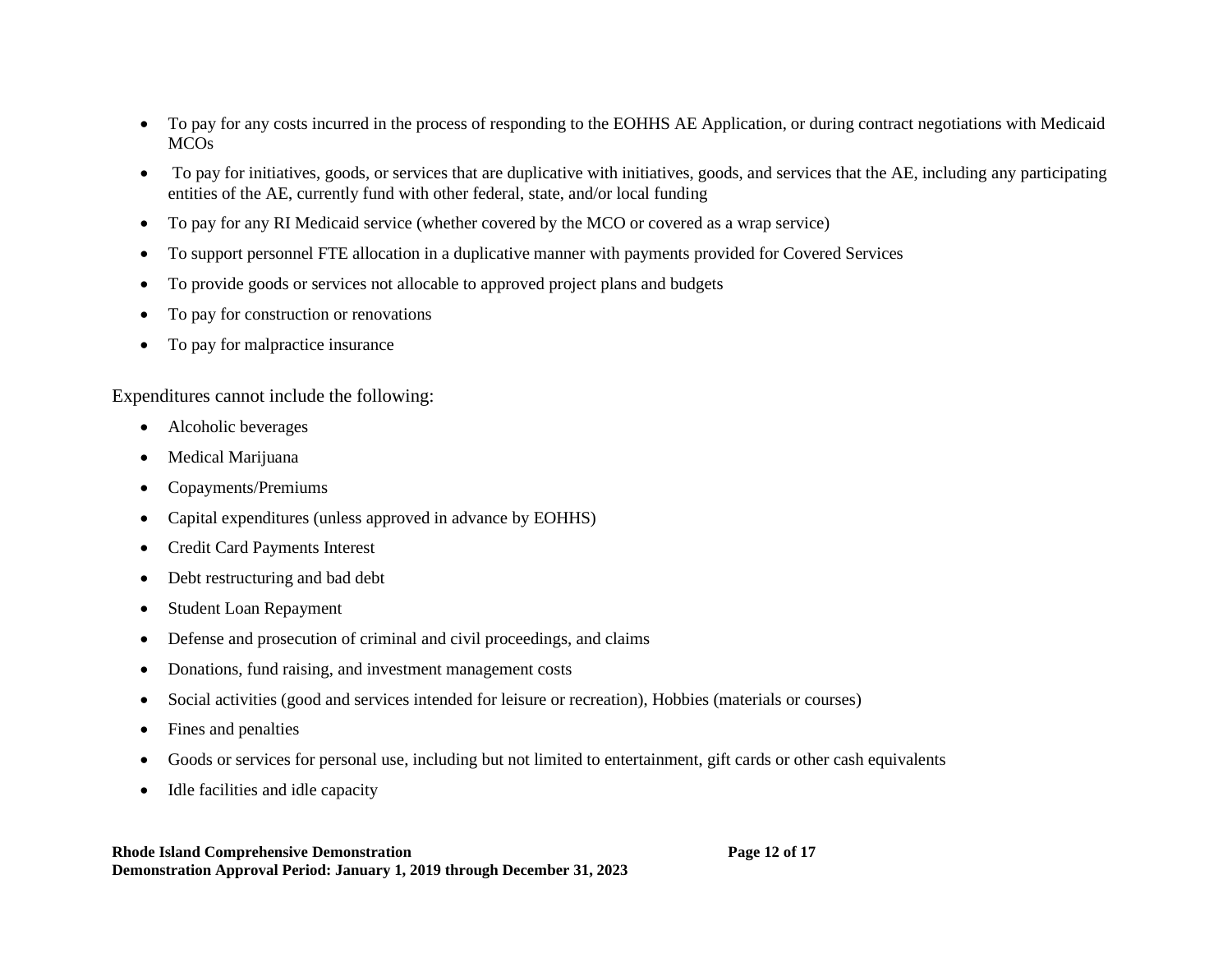- To pay for any costs incurred in the process of responding to the EOHHS AE Application, or during contract negotiations with Medicaid **MCOs**
- To pay for initiatives, goods, or services that are duplicative with initiatives, goods, and services that the AE, including any participating entities of the AE, currently fund with other federal, state, and/or local funding
- To pay for any RI Medicaid service (whether covered by the MCO or covered as a wrap service)
- To support personnel FTE allocation in a duplicative manner with payments provided for Covered Services
- To provide goods or services not allocable to approved project plans and budgets
- To pay for construction or renovations
- To pay for malpractice insurance

Expenditures cannot include the following:

- Alcoholic beverages
- Medical Marijuana
- Copayments/Premiums
- Capital expenditures (unless approved in advance by EOHHS)
- Credit Card Payments Interest
- Debt restructuring and bad debt
- Student Loan Repayment
- Defense and prosecution of criminal and civil proceedings, and claims
- Donations, fund raising, and investment management costs
- Social activities (good and services intended for leisure or recreation), Hobbies (materials or courses)
- Fines and penalties
- Goods or services for personal use, including but not limited to entertainment, gift cards or other cash equivalents
- Idle facilities and idle capacity

#### **Rhode Island Comprehensive Demonstration Page 12 of 17 Demonstration Approval Period: January 1, 2019 through December 31, 2023**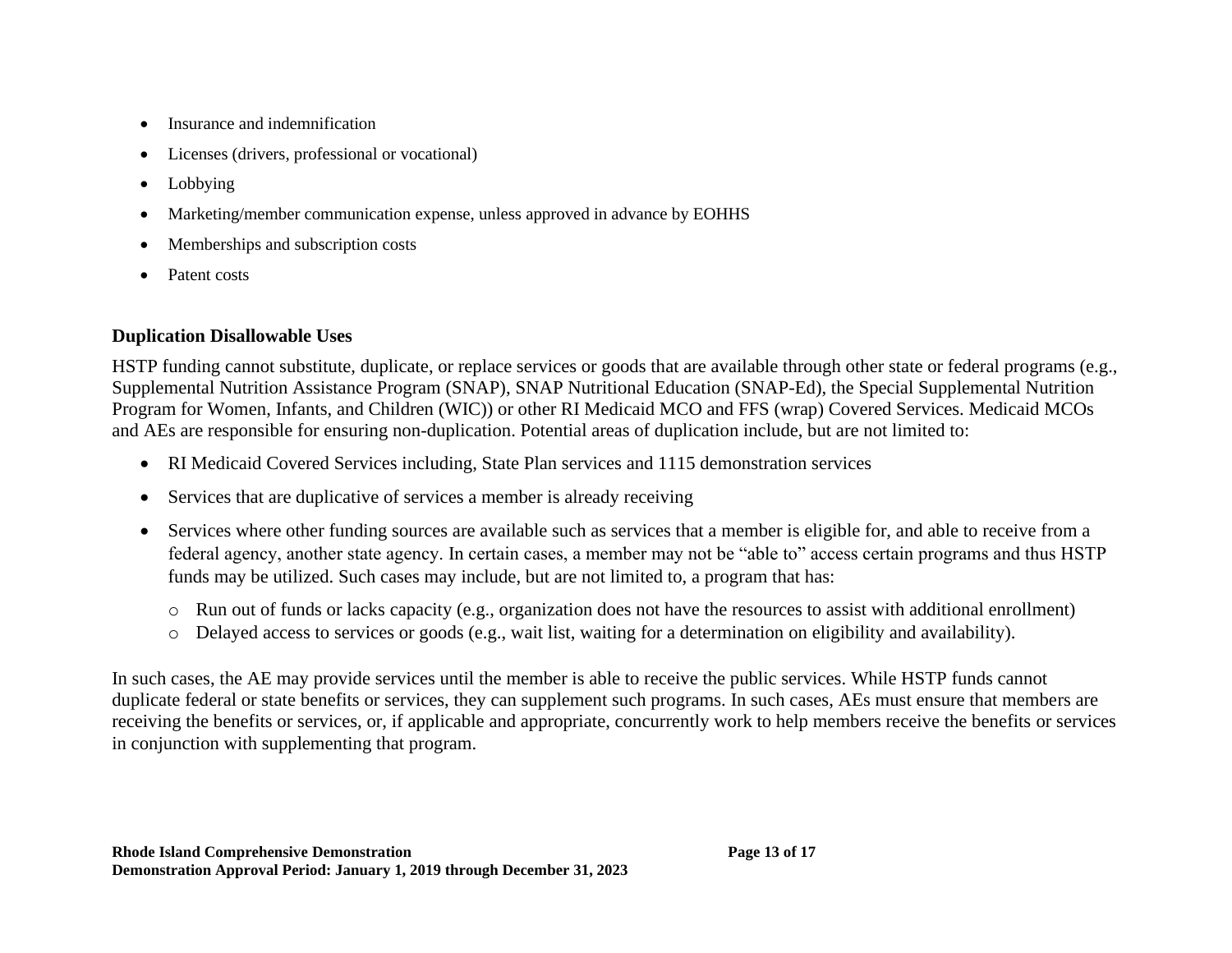- Insurance and indemnification
- Licenses (drivers, professional or vocational)
- Lobbying
- Marketing/member communication expense, unless approved in advance by EOHHS
- Memberships and subscription costs
- Patent costs

# **Duplication Disallowable Uses**

HSTP funding cannot substitute, duplicate, or replace services or goods that are available through other state or federal programs (e.g., Supplemental Nutrition Assistance Program (SNAP), SNAP Nutritional Education (SNAP-Ed), the Special Supplemental Nutrition Program for Women, Infants, and Children (WIC)) or other RI Medicaid MCO and FFS (wrap) Covered Services. Medicaid MCOs and AEs are responsible for ensuring non-duplication. Potential areas of duplication include, but are not limited to:

- RI Medicaid Covered Services including, State Plan services and 1115 demonstration services
- Services that are duplicative of services a member is already receiving
- Services where other funding sources are available such as services that a member is eligible for, and able to receive from a federal agency, another state agency. In certain cases, a member may not be "able to" access certain programs and thus HSTP funds may be utilized. Such cases may include, but are not limited to, a program that has:
	- o Run out of funds or lacks capacity (e.g., organization does not have the resources to assist with additional enrollment)
	- o Delayed access to services or goods (e.g., wait list, waiting for a determination on eligibility and availability).

In such cases, the AE may provide services until the member is able to receive the public services. While HSTP funds cannot duplicate federal or state benefits or services, they can supplement such programs. In such cases, AEs must ensure that members are receiving the benefits or services, or, if applicable and appropriate, concurrently work to help members receive the benefits or services in conjunction with supplementing that program.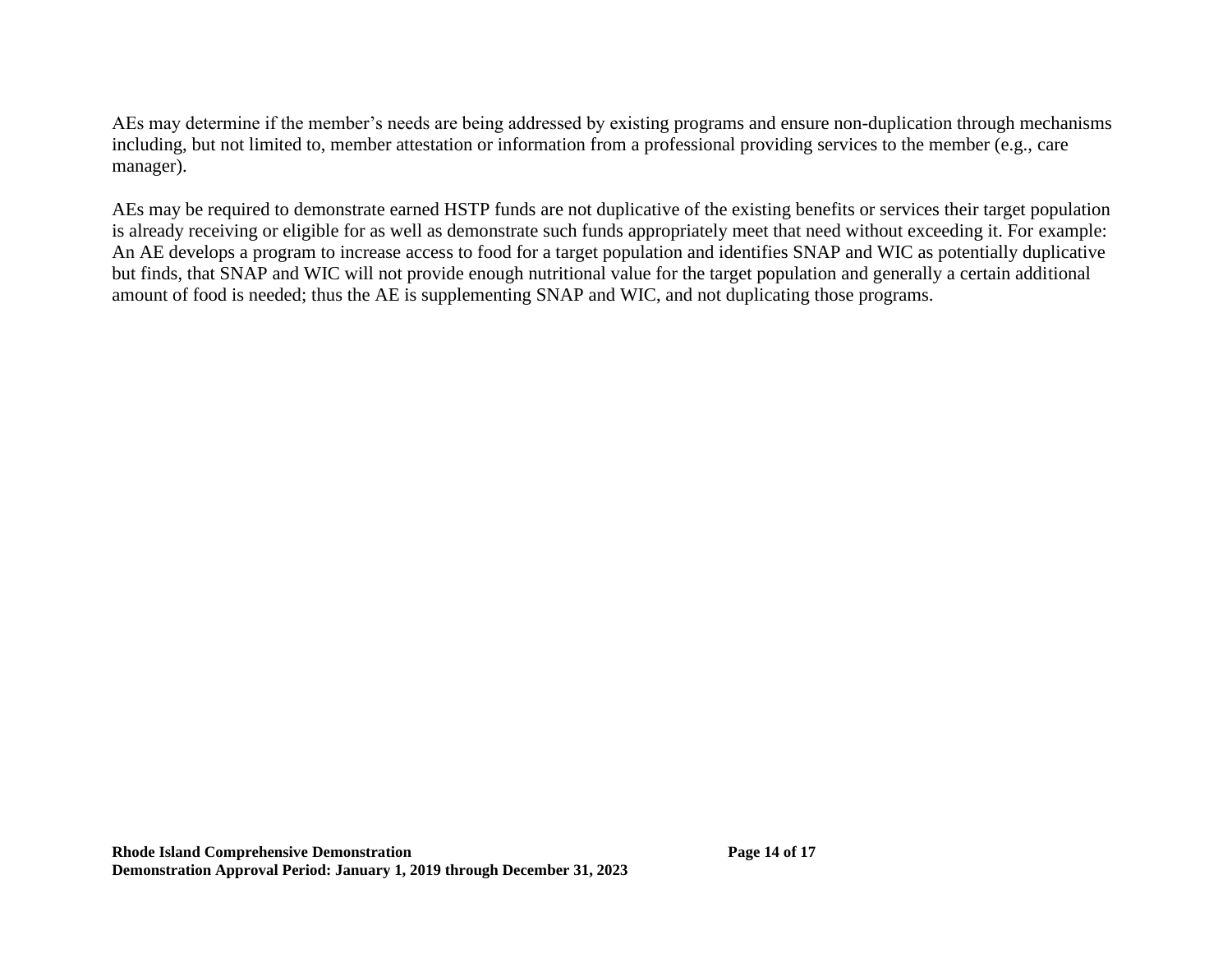AEs may determine if the member's needs are being addressed by existing programs and ensure non-duplication through mechanisms including, but not limited to, member attestation or information from a professional providing services to the member (e.g., care manager).

AEs may be required to demonstrate earned HSTP funds are not duplicative of the existing benefits or services their target population is already receiving or eligible for as well as demonstrate such funds appropriately meet that need without exceeding it. For example: An AE develops a program to increase access to food for a target population and identifies SNAP and WIC as potentially duplicative but finds, that SNAP and WIC will not provide enough nutritional value for the target population and generally a certain additional amount of food is needed; thus the AE is supplementing SNAP and WIC, and not duplicating those programs.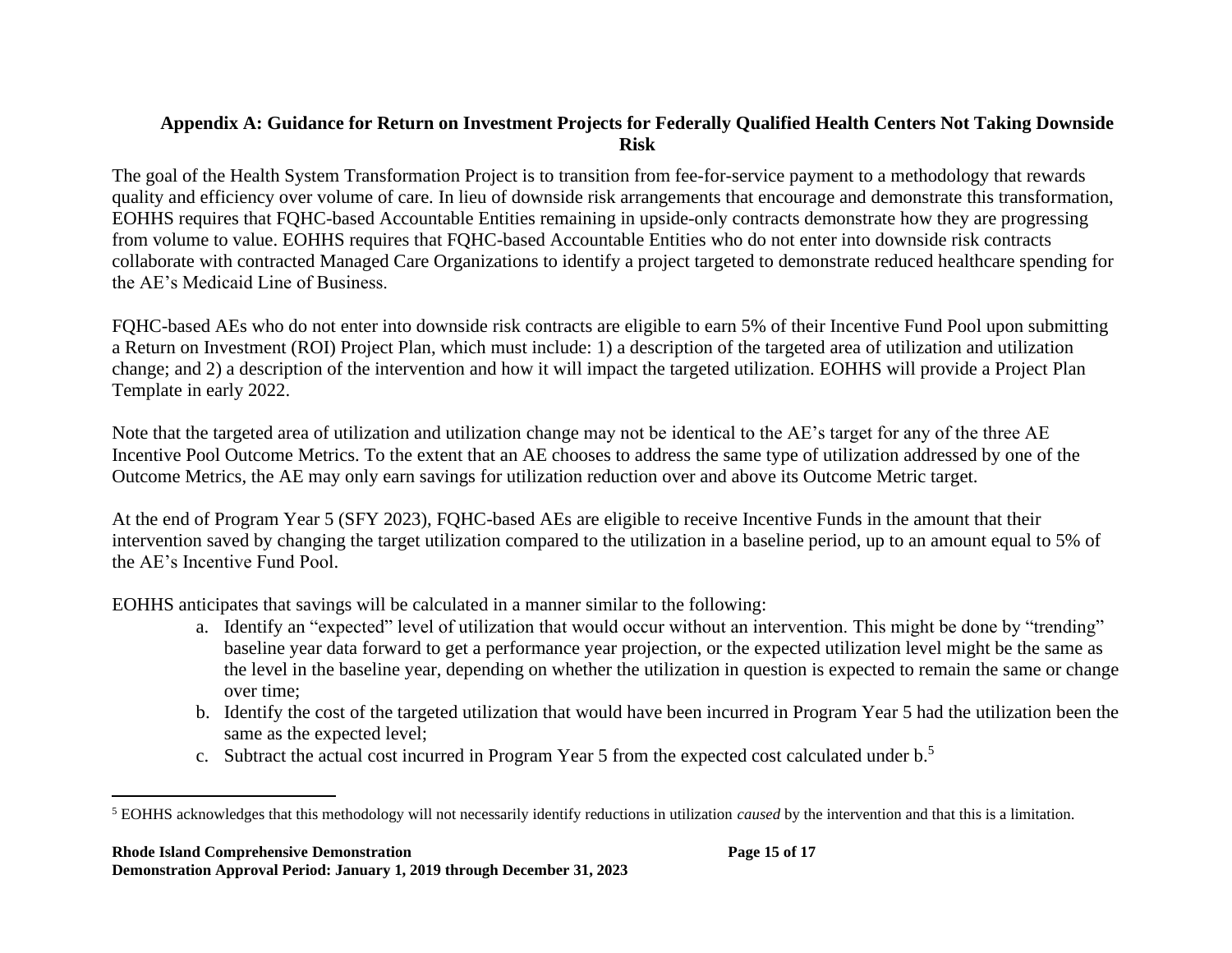#### **Appendix A: Guidance for Return on Investment Projects for Federally Qualified Health Centers Not Taking Downside Risk**

The goal of the Health System Transformation Project is to transition from fee-for-service payment to a methodology that rewards quality and efficiency over volume of care. In lieu of downside risk arrangements that encourage and demonstrate this transformation, EOHHS requires that FQHC-based Accountable Entities remaining in upside-only contracts demonstrate how they are progressing from volume to value. EOHHS requires that FQHC-based Accountable Entities who do not enter into downside risk contracts collaborate with contracted Managed Care Organizations to identify a project targeted to demonstrate reduced healthcare spending for the AE's Medicaid Line of Business.

FQHC-based AEs who do not enter into downside risk contracts are eligible to earn 5% of their Incentive Fund Pool upon submitting a Return on Investment (ROI) Project Plan, which must include: 1) a description of the targeted area of utilization and utilization change; and 2) a description of the intervention and how it will impact the targeted utilization. EOHHS will provide a Project Plan Template in early 2022.

Note that the targeted area of utilization and utilization change may not be identical to the AE's target for any of the three AE Incentive Pool Outcome Metrics. To the extent that an AE chooses to address the same type of utilization addressed by one of the Outcome Metrics, the AE may only earn savings for utilization reduction over and above its Outcome Metric target.

At the end of Program Year 5 (SFY 2023), FQHC-based AEs are eligible to receive Incentive Funds in the amount that their intervention saved by changing the target utilization compared to the utilization in a baseline period, up to an amount equal to 5% of the AE's Incentive Fund Pool.

EOHHS anticipates that savings will be calculated in a manner similar to the following:

- a. Identify an "expected" level of utilization that would occur without an intervention. This might be done by "trending" baseline year data forward to get a performance year projection, or the expected utilization level might be the same as the level in the baseline year, depending on whether the utilization in question is expected to remain the same or change over time;
- b. Identify the cost of the targeted utilization that would have been incurred in Program Year 5 had the utilization been the same as the expected level;
- c. Subtract the actual cost incurred in Program Year 5 from the expected cost calculated under b.<sup>5</sup>

<sup>5</sup> EOHHS acknowledges that this methodology will not necessarily identify reductions in utilization *caused* by the intervention and that this is a limitation.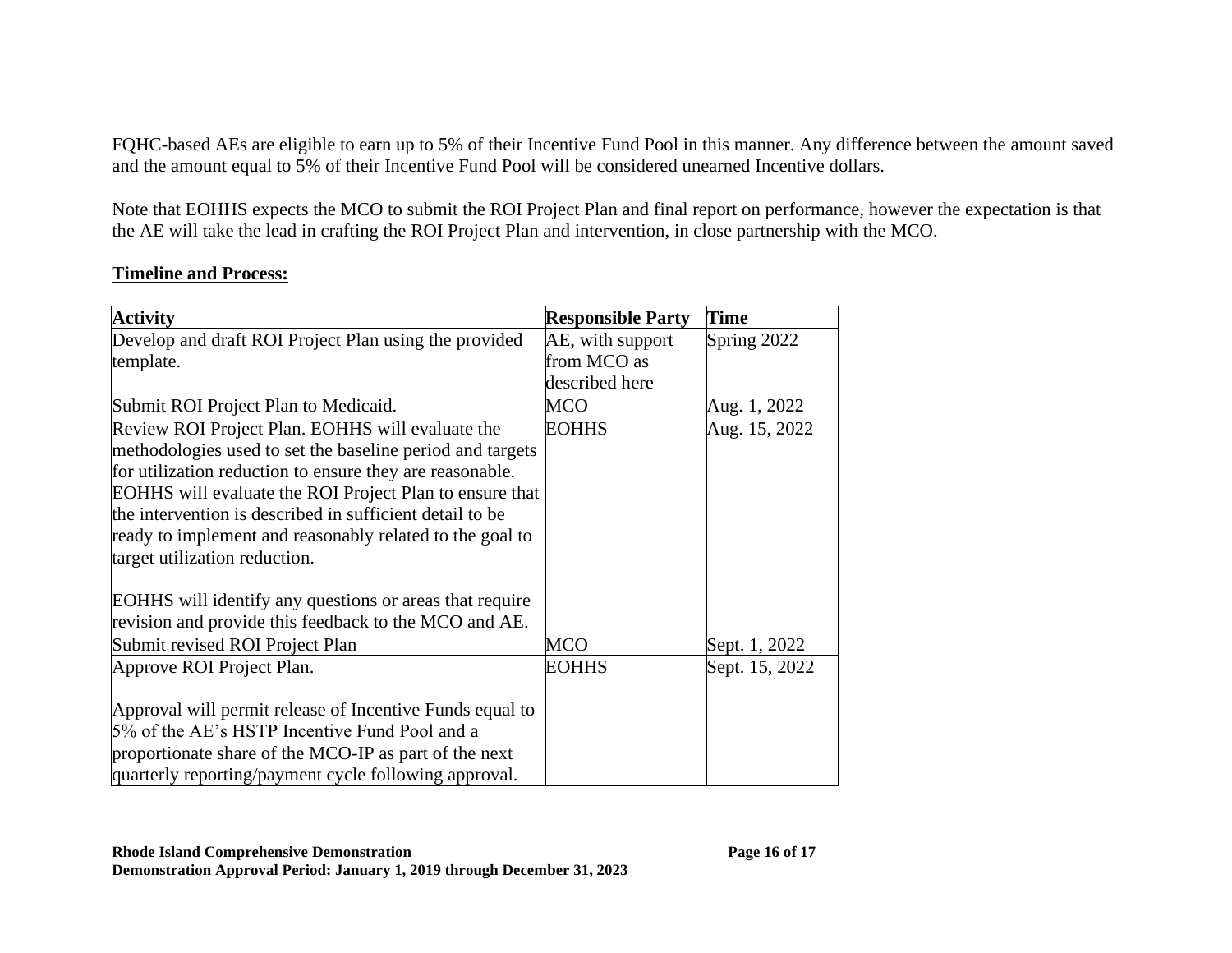FQHC-based AEs are eligible to earn up to 5% of their Incentive Fund Pool in this manner. Any difference between the amount saved and the amount equal to 5% of their Incentive Fund Pool will be considered unearned Incentive dollars.

Note that EOHHS expects the MCO to submit the ROI Project Plan and final report on performance, however the expectation is that the AE will take the lead in crafting the ROI Project Plan and intervention, in close partnership with the MCO.

| <b>Activity</b>                                           | <b>Responsible Party</b> | <b>Time</b>    |
|-----------------------------------------------------------|--------------------------|----------------|
| Develop and draft ROI Project Plan using the provided     | AE, with support         | Spring 2022    |
| template.                                                 | from MCO as              |                |
|                                                           | described here           |                |
| Submit ROI Project Plan to Medicaid.                      | MCO                      | Aug. 1, 2022   |
| Review ROI Project Plan. EOHHS will evaluate the          | <b>EOHHS</b>             | Aug. 15, 2022  |
| methodologies used to set the baseline period and targets |                          |                |
| for utilization reduction to ensure they are reasonable.  |                          |                |
| EOHHS will evaluate the ROI Project Plan to ensure that   |                          |                |
| the intervention is described in sufficient detail to be  |                          |                |
| ready to implement and reasonably related to the goal to  |                          |                |
| target utilization reduction.                             |                          |                |
|                                                           |                          |                |
| EOHHS will identify any questions or areas that require   |                          |                |
| revision and provide this feedback to the MCO and AE.     |                          |                |
| Submit revised ROI Project Plan                           | MCO                      | Sept. 1, 2022  |
| Approve ROI Project Plan.                                 | <b>EOHHS</b>             | Sept. 15, 2022 |
|                                                           |                          |                |
| Approval will permit release of Incentive Funds equal to  |                          |                |
| 5% of the AE's HSTP Incentive Fund Pool and a             |                          |                |
| proportionate share of the MCO-IP as part of the next     |                          |                |
| quarterly reporting/payment cycle following approval.     |                          |                |

#### **Timeline and Process:**